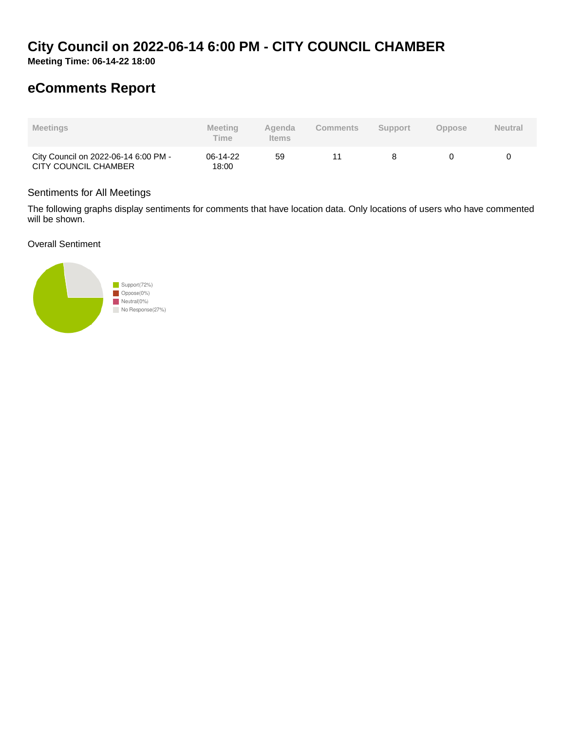# **City Council on 2022-06-14 6:00 PM - CITY COUNCIL CHAMBER**

**Meeting Time: 06-14-22 18:00**

# **eComments Report**

| <b>Meetings</b>                                              | <b>Meeting</b><br><b>Time</b> | Agenda<br><b>Items</b> | <b>Comments</b> | <b>Support</b> | Oppose | <b>Neutral</b> |
|--------------------------------------------------------------|-------------------------------|------------------------|-----------------|----------------|--------|----------------|
| City Council on 2022-06-14 6:00 PM -<br>CITY COUNCIL CHAMBER | 06-14-22<br>18:00             | 59                     |                 |                |        |                |

#### Sentiments for All Meetings

The following graphs display sentiments for comments that have location data. Only locations of users who have commented will be shown.

Overall Sentiment

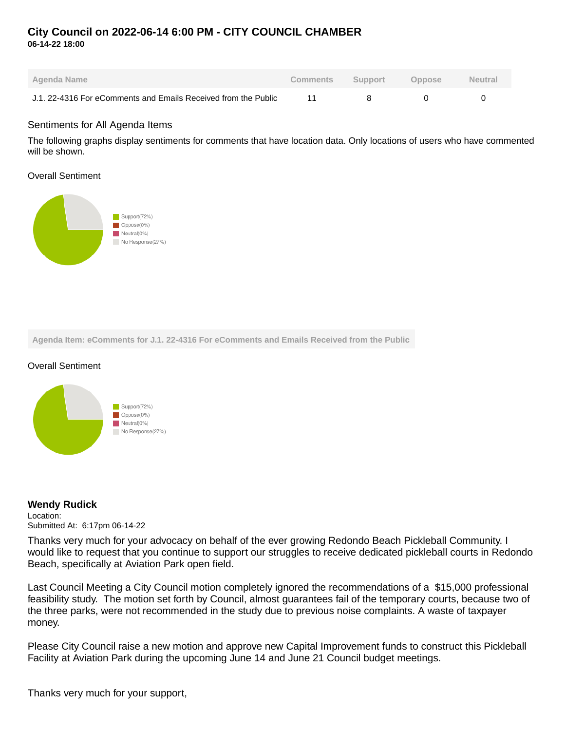## **City Council on 2022-06-14 6:00 PM - CITY COUNCIL CHAMBER 06-14-22 18:00**

| Agenda Name                                                    | Comments | Support | <b>Oppose</b> | <b>Neutral</b> |
|----------------------------------------------------------------|----------|---------|---------------|----------------|
| J.1, 22-4316 For eComments and Emails Received from the Public |          |         |               |                |

#### Sentiments for All Agenda Items

The following graphs display sentiments for comments that have location data. Only locations of users who have commented will be shown.

Overall Sentiment



**Agenda Item: eComments for J.1. 22-4316 For eComments and Emails Received from the Public**

#### Overall Sentiment



#### **Wendy Rudick**

Location: Submitted At: 6:17pm 06-14-22

Thanks very much for your advocacy on behalf of the ever growing Redondo Beach Pickleball Community. I would like to request that you continue to support our struggles to receive dedicated pickleball courts in Redondo Beach, specifically at Aviation Park open field.

Last Council Meeting a City Council motion completely ignored the recommendations of a \$15,000 professional feasibility study. The motion set forth by Council, almost guarantees fail of the temporary courts, because two of the three parks, were not recommended in the study due to previous noise complaints. A waste of taxpayer money.

Please City Council raise a new motion and approve new Capital Improvement funds to construct this Pickleball Facility at Aviation Park during the upcoming June 14 and June 21 Council budget meetings.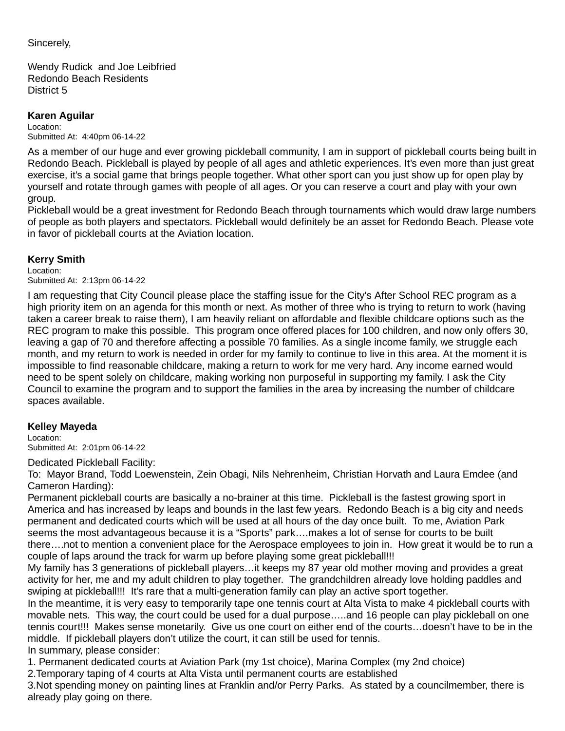### Sincerely,

Wendy Rudick and Joe Leibfried Redondo Beach Residents District 5

### **Karen Aguilar**

Location: Submitted At: 4:40pm 06-14-22

As a member of our huge and ever growing pickleball community, I am in support of pickleball courts being built in Redondo Beach. Pickleball is played by people of all ages and athletic experiences. It's even more than just great exercise, it's a social game that brings people together. What other sport can you just show up for open play by yourself and rotate through games with people of all ages. Or you can reserve a court and play with your own group.

Pickleball would be a great investment for Redondo Beach through tournaments which would draw large numbers of people as both players and spectators. Pickleball would definitely be an asset for Redondo Beach. Please vote in favor of pickleball courts at the Aviation location.

### **Kerry Smith**

Location: Submitted At: 2:13pm 06-14-22

I am requesting that City Council please place the staffing issue for the City's After School REC program as a high priority item on an agenda for this month or next. As mother of three who is trying to return to work (having taken a career break to raise them), I am heavily reliant on affordable and flexible childcare options such as the REC program to make this possible. This program once offered places for 100 children, and now only offers 30, leaving a gap of 70 and therefore affecting a possible 70 families. As a single income family, we struggle each month, and my return to work is needed in order for my family to continue to live in this area. At the moment it is impossible to find reasonable childcare, making a return to work for me very hard. Any income earned would need to be spent solely on childcare, making working non purposeful in supporting my family. I ask the City Council to examine the program and to support the families in the area by increasing the number of childcare spaces available.

## **Kelley Mayeda**

Location:

Submitted At: 2:01pm 06-14-22

Dedicated Pickleball Facility:

To: Mayor Brand, Todd Loewenstein, Zein Obagi, Nils Nehrenheim, Christian Horvath and Laura Emdee (and Cameron Harding):

Permanent pickleball courts are basically a no-brainer at this time. Pickleball is the fastest growing sport in America and has increased by leaps and bounds in the last few years. Redondo Beach is a big city and needs permanent and dedicated courts which will be used at all hours of the day once built. To me, Aviation Park seems the most advantageous because it is a "Sports" park….makes a lot of sense for courts to be built there….not to mention a convenient place for the Aerospace employees to join in. How great it would be to run a couple of laps around the track for warm up before playing some great pickleball!!!

My family has 3 generations of pickleball players…it keeps my 87 year old mother moving and provides a great activity for her, me and my adult children to play together. The grandchildren already love holding paddles and swiping at pickleball!!! It's rare that a multi-generation family can play an active sport together.

In the meantime, it is very easy to temporarily tape one tennis court at Alta Vista to make 4 pickleball courts with movable nets. This way, the court could be used for a dual purpose…..and 16 people can play pickleball on one tennis court!!! Makes sense monetarily. Give us one court on either end of the courts…doesn't have to be in the middle. If pickleball players don't utilize the court, it can still be used for tennis. In summary, please consider:

1. Permanent dedicated courts at Aviation Park (my 1st choice), Marina Complex (my 2nd choice)

2. Temporary taping of 4 courts at Alta Vista until permanent courts are established

3. Not spending money on painting lines at Franklin and/or Perry Parks. As stated by a councilmember, there is already play going on there.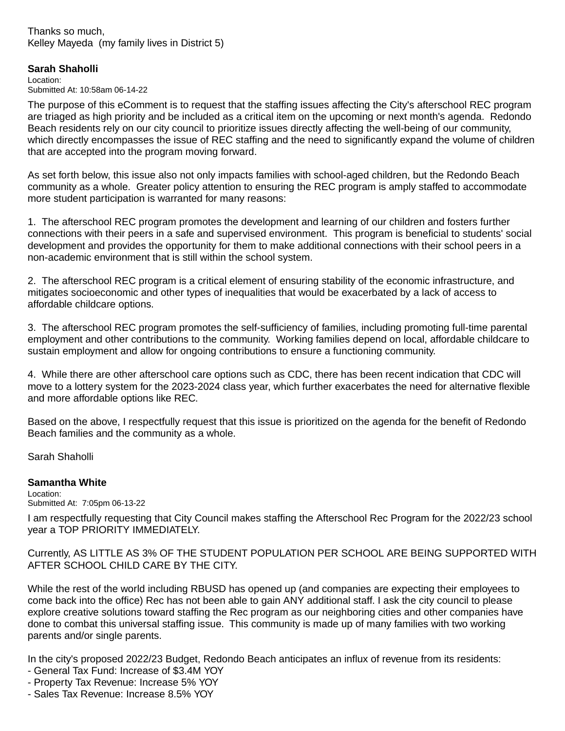#### Thanks so much, Kelley Mayeda (my family lives in District 5)

### **Sarah Shaholli**

Location: Submitted At: 10:58am 06-14-22

The purpose of this eComment is to request that the staffing issues affecting the City's afterschool REC program are triaged as high priority and be included as a critical item on the upcoming or next month's agenda. Redondo Beach residents rely on our city council to prioritize issues directly affecting the well-being of our community, which directly encompasses the issue of REC staffing and the need to significantly expand the volume of children that are accepted into the program moving forward.

As set forth below, this issue also not only impacts families with school-aged children, but the Redondo Beach community as a whole. Greater policy attention to ensuring the REC program is amply staffed to accommodate more student participation is warranted for many reasons:

1. The afterschool REC program promotes the development and learning of our children and fosters further connections with their peers in a safe and supervised environment. This program is beneficial to students' social development and provides the opportunity for them to make additional connections with their school peers in a non-academic environment that is still within the school system.

2. The afterschool REC program is a critical element of ensuring stability of the economic infrastructure, and mitigates socioeconomic and other types of inequalities that would be exacerbated by a lack of access to affordable childcare options.

3. The afterschool REC program promotes the self-sufficiency of families, including promoting full-time parental employment and other contributions to the community. Working families depend on local, affordable childcare to sustain employment and allow for ongoing contributions to ensure a functioning community.

4. While there are other afterschool care options such as CDC, there has been recent indication that CDC will move to a lottery system for the 2023-2024 class year, which further exacerbates the need for alternative flexible and more affordable options like REC.

Based on the above, I respectfully request that this issue is prioritized on the agenda for the benefit of Redondo Beach families and the community as a whole.

Sarah Shaholli

### **Samantha White**

Location: Submitted At: 7:05pm 06-13-22

I am respectfully requesting that City Council makes staffing the Afterschool Rec Program for the 2022/23 school year a TOP PRIORITY IMMEDIATELY.

Currently, AS LITTLE AS 3% OF THE STUDENT POPULATION PER SCHOOL ARE BEING SUPPORTED WITH AFTER SCHOOL CHILD CARE BY THE CITY.

While the rest of the world including RBUSD has opened up (and companies are expecting their employees to come back into the office) Rec has not been able to gain ANY additional staff. I ask the city council to please explore creative solutions toward staffing the Rec program as our neighboring cities and other companies have done to combat this universal staffing issue. This community is made up of many families with two working parents and/or single parents.

In the city's proposed 2022/23 Budget, Redondo Beach anticipates an influx of revenue from its residents:

- General Tax Fund: Increase of \$3.4M YOY
- Property Tax Revenue: Increase 5% YOY
- Sales Tax Revenue: Increase 8.5% YOY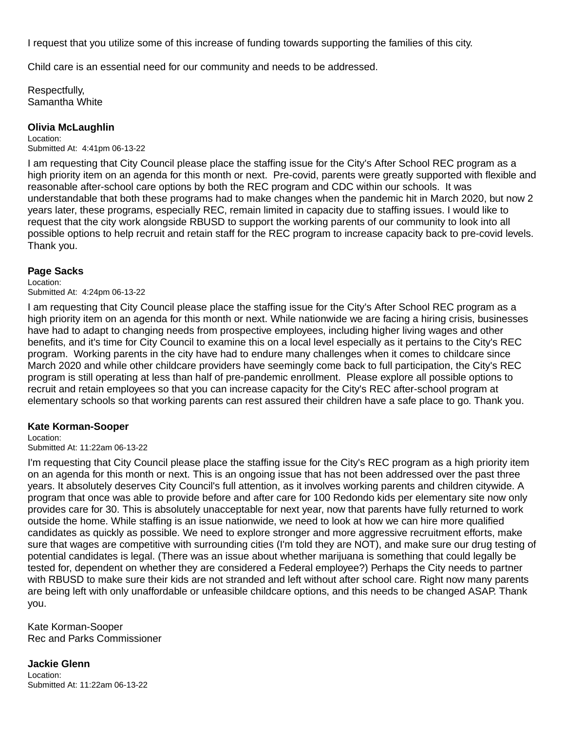I request that you utilize some of this increase of funding towards supporting the families of this city.

Child care is an essential need for our community and needs to be addressed.

Respectfully, Samantha White

#### **Olivia McLaughlin**

Location: Submitted At: 4:41pm 06-13-22

I am requesting that City Council please place the staffing issue for the City's After School REC program as a high priority item on an agenda for this month or next. Pre-covid, parents were greatly supported with flexible and reasonable after-school care options by both the REC program and CDC within our schools. It was understandable that both these programs had to make changes when the pandemic hit in March 2020, but now 2 years later, these programs, especially REC, remain limited in capacity due to staffing issues. I would like to request that the city work alongside RBUSD to support the working parents of our community to look into all possible options to help recruit and retain staff for the REC program to increase capacity back to pre-covid levels. Thank you.

#### **Page Sacks**

Location: Submitted At: 4:24pm 06-13-22

I am requesting that City Council please place the staffing issue for the City's After School REC program as a high priority item on an agenda for this month or next. While nationwide we are facing a hiring crisis, businesses have had to adapt to changing needs from prospective employees, including higher living wages and other benefits, and it's time for City Council to examine this on a local level especially as it pertains to the City's REC program. Working parents in the city have had to endure many challenges when it comes to childcare since March 2020 and while other childcare providers have seemingly come back to full participation, the City's REC program is still operating at less than half of pre-pandemic enrollment. Please explore all possible options to recruit and retain employees so that you can increase capacity for the City's REC after-school program at elementary schools so that working parents can rest assured their children have a safe place to go. Thank you.

### **Kate Korman-Sooper**

Location:

Submitted At: 11:22am 06-13-22

I'm requesting that City Council please place the staffing issue for the City's REC program as a high priority item on an agenda for this month or next. This is an ongoing issue that has not been addressed over the past three years. It absolutely deserves City Council's full attention, as it involves working parents and children citywide. A program that once was able to provide before and after care for 100 Redondo kids per elementary site now only provides care for 30. This is absolutely unacceptable for next year, now that parents have fully returned to work outside the home. While staffing is an issue nationwide, we need to look at how we can hire more qualified candidates as quickly as possible. We need to explore stronger and more aggressive recruitment efforts, make sure that wages are competitive with surrounding cities (I'm told they are NOT), and make sure our drug testing of potential candidates is legal. (There was an issue about whether marijuana is something that could legally be tested for, dependent on whether they are considered a Federal employee?) Perhaps the City needs to partner with RBUSD to make sure their kids are not stranded and left without after school care. Right now many parents are being left with only unaffordable or unfeasible childcare options, and this needs to be changed ASAP. Thank you.

Kate Korman-Sooper Rec and Parks Commissioner

**Jackie Glenn** Location: Submitted At: 11:22am 06-13-22